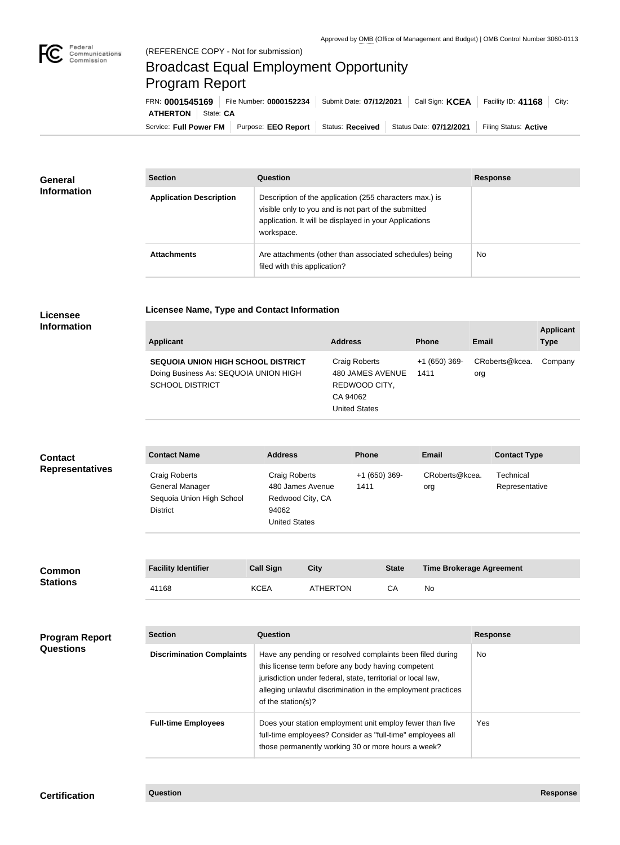## Broadcast Equal Employment Opportunity Program Report

**Licensee Name, Type and Contact Information**

Service: Full Power FM Purpose: EEO Report | Status: Received | Status Date: 07/12/2021 | Filing Status: Active **ATHERTON** State: **CA** FRN: **0001545169** File Number: **0000152234** Submit Date: **07/12/2021** Call Sign: **KCEA** Facility ID: **41168** City:

| <b>General</b><br><b>Information</b> | <b>Section</b>                 | Question                                                                                                                                                                                | <b>Response</b> |
|--------------------------------------|--------------------------------|-----------------------------------------------------------------------------------------------------------------------------------------------------------------------------------------|-----------------|
|                                      | <b>Application Description</b> | Description of the application (255 characters max.) is<br>visible only to you and is not part of the submitted<br>application. It will be displayed in your Applications<br>workspace. |                 |
|                                      | <b>Attachments</b>             | Are attachments (other than associated schedules) being<br>filed with this application?                                                                                                 | <b>No</b>       |

## **Licensee Information**

| Applicant                                                                                                    | <b>Address</b>                                                                         | <b>Phone</b>          | Email                 | <b>Applicant</b><br><b>Type</b> |
|--------------------------------------------------------------------------------------------------------------|----------------------------------------------------------------------------------------|-----------------------|-----------------------|---------------------------------|
| <b>SEQUOIA UNION HIGH SCHOOL DISTRICT</b><br>Doing Business As: SEQUOIA UNION HIGH<br><b>SCHOOL DISTRICT</b> | Craig Roberts<br>480 JAMES AVENUE<br>REDWOOD CITY,<br>CA 94062<br><b>United States</b> | +1 (650) 369-<br>1411 | CRoberts@kcea.<br>org | Company                         |

## **Contact Name Address Phone Email Contact Type** Craig Roberts General Manager Sequoia Union High School District Craig Roberts 480 James Avenue Redwood City, CA 94062 United States +1 (650) 369- 1411 CRoberts@kcea. org **Technical** Representative **Contact Representatives**

| <b>Common</b><br><b>Stations</b>          | <b>Facility Identifier</b>       | <b>Call Sign</b>   | <b>City</b>                                                                                                                                                                                                                                     | <b>State</b> |           | <b>Time Brokerage Agreement</b> |
|-------------------------------------------|----------------------------------|--------------------|-------------------------------------------------------------------------------------------------------------------------------------------------------------------------------------------------------------------------------------------------|--------------|-----------|---------------------------------|
|                                           | 41168                            | <b>KCEA</b>        | <b>ATHERTON</b>                                                                                                                                                                                                                                 | CA           | <b>No</b> |                                 |
|                                           |                                  |                    |                                                                                                                                                                                                                                                 |              |           |                                 |
| <b>Program Report</b><br><b>Questions</b> | <b>Section</b>                   | Question           |                                                                                                                                                                                                                                                 |              |           | <b>Response</b>                 |
|                                           | <b>Discrimination Complaints</b> | of the station(s)? | Have any pending or resolved complaints been filed during<br>this license term before any body having competent<br>jurisdiction under federal, state, territorial or local law,<br>alleging unlawful discrimination in the employment practices |              |           | No.                             |
|                                           | <b>Full-time Employees</b>       |                    | Does your station employment unit employ fewer than five<br>full-time employees? Consider as "full-time" employees all<br>those permanently working 30 or more hours a week?                                                                    |              |           | Yes                             |